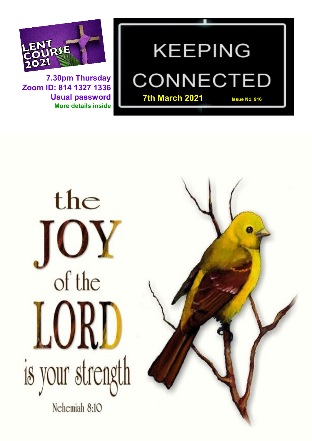

**7.30pm Thursday Zoom ID: 814 1327 1336 Usual password More details inside**

# **KEEPING** CONNECTEI **7th March 2021 Issue No. 916**



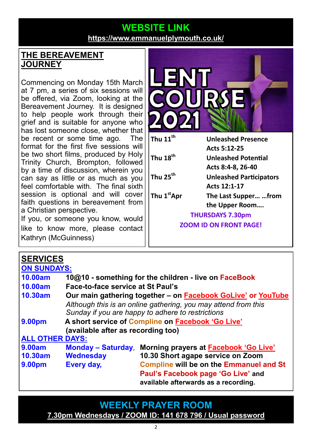### **WEBSITE LINK <https://www.emmanuelplymouth.co.uk/>**

#### **THE BEREAVEMENT JOURNEY**

Commencing on Monday 15th March at 7 pm, a series of six sessions will be offered, via Zoom, looking at the Bereavement Journey. It is designed to help people work through their grief and is suitable for anyone who has lost someone close, whether that be recent or some time ago. The format for the first five sessions will be two short films, produced by Holy Trinity Church, Brompton, followed by a time of discussion, wherein you can say as little or as much as you feel comfortable with. The final sixth session is optional and will cover faith questions in bereavement from a Christian perspective.

If you, or someone you know, would like to know more, please contact Kathryn (McGuinness)



| <b>SERVICES</b>        |                                                                |                                                       |  |
|------------------------|----------------------------------------------------------------|-------------------------------------------------------|--|
| <b>ON SUNDAYS:</b>     |                                                                |                                                       |  |
| <b>10.00am</b>         |                                                                | 10@10 - something for the children - live on FaceBook |  |
| <b>10.00am</b>         | Face-to-face service at St Paul's                              |                                                       |  |
| 10.30am                | Our main gathering together – on Facebook GoLive' or YouTube   |                                                       |  |
|                        | Although this is an online gathering, you may attend from this |                                                       |  |
|                        | Sunday if you are happy to adhere to restrictions              |                                                       |  |
| <b>9.00pm</b>          | A short service of Compline on Facebook 'Go Live'              |                                                       |  |
|                        | (available after as recording too)                             |                                                       |  |
| <b>ALL OTHER DAYS:</b> |                                                                |                                                       |  |
| <b>9.00am</b>          | <b>Monday – Saturday,</b>                                      | Morning prayers at <b>Facebook 'Go Live'</b>          |  |
| 10.30am                | <b>Wednesday</b>                                               | 10.30 Short agape service on Zoom                     |  |
| <b>9.00pm</b>          | Every day,                                                     | <b>Compline will be on the Emmanuel and St</b>        |  |
|                        |                                                                | Paul's Facebook page 'Go Live' and                    |  |
|                        |                                                                | available afterwards as a recording.                  |  |

**WEEKLY PRAYER ROOM [7.30pm Wednesdays / ZOOM ID: 141 678 796 / Usual password](https://us04web.zoom.us/j/141678796?pwd=VERURTVtcWQzbkZvdXFRMnJpKzg3dz09)**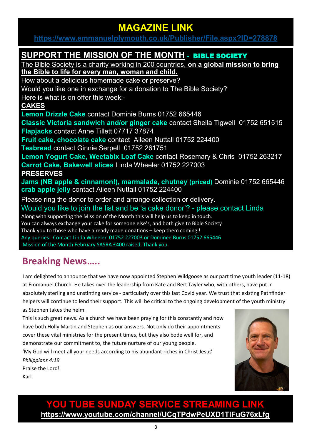## **MAGAZINE LINK**

**<https://www.emmanuelplymouth.co.uk/Publisher/File.aspx?ID=278878>**

#### **SUPPORT THE MISSION OF THE MONTH** - [BIBLE SOCIETY](https://www.biblesociety.org.uk/)

The Bible Society is a charity working in 200 countries, **on a global mission to bring the Bible to life for every man, woman and child.**

How about a delicious homemade cake or preserve? Would you like one in exchange for a donation to The Bible Society? Here is what is on offer this week:- **CAKES Lemon Drizzle Cake** contact Dominie Burns 01752 665446 **Classic Victoria sandwich and/or ginger cake** contact Sheila Tigwell 01752 651515 **Flapjacks** contact Anne Tillett 07717 37874 **Fruit cake, chocolate cake** contact Aileen Nuttall 01752 224400 **Teabread** contact Ginnie Serpell 01752 261751

**Lemon Yogurt Cake, Weetabix Loaf Cake** contact Rosemary & Chris 01752 263217 **Carrot Cake, Bakewell slices** Linda Wheeler 01752 227003 **PRESERVES**

**Jams (NB apple & cinnamon!), marmalade, chutney (priced)** Dominie 01752 665446 **crab apple jelly** contact Aileen Nuttall 01752 224400

Please ring the donor to order and arrange collection or delivery. Would you like to join the list and be 'a cake donor'? - please contact Linda Along with supporting the Mission of the Month this will help us to keep in touch. You can always exchange your cake for someone else's, and both give to Bible Society Thank you to those who have already made donations – keep them coming ! Any queries: Contact Linda Wheeler 01752 227003 or Dominee Burns 01752 665446 Mission of the Month February SASRA £400 raised. Thank you.

# **Breaking News…..**

I am delighted to announce that we have now appointed Stephen Wildgoose as our part time youth leader (11-18) at Emmanuel Church. He takes over the leadership from Kate and Bert Tayler who, with others, have put in absolutely sterling and unstinting service - particularly over this last Covid year. We trust that existing Pathfinder helpers will continue to lend their support. This will be critical to the ongoing development of the youth ministry as Stephen takes the helm.

This is such great news. As a church we have been praying for this constantly and now have both Holly Martin and Stephen as our answers. Not only do their appointments cover these vital ministries for the present times, but they also bode well for, and demonstrate our commitment to, the future nurture of our young people. 'My God will meet all your needs according to his abundant riches in Christ Jesus' *Philippians 4:19* Praise the Lord! Karl



**YOU TUBE SUNDAY SERVICE STREAMING LINK <https://www.youtube.com/channel/UCqTPdwPeUXD1TIFuG76xLfg>**